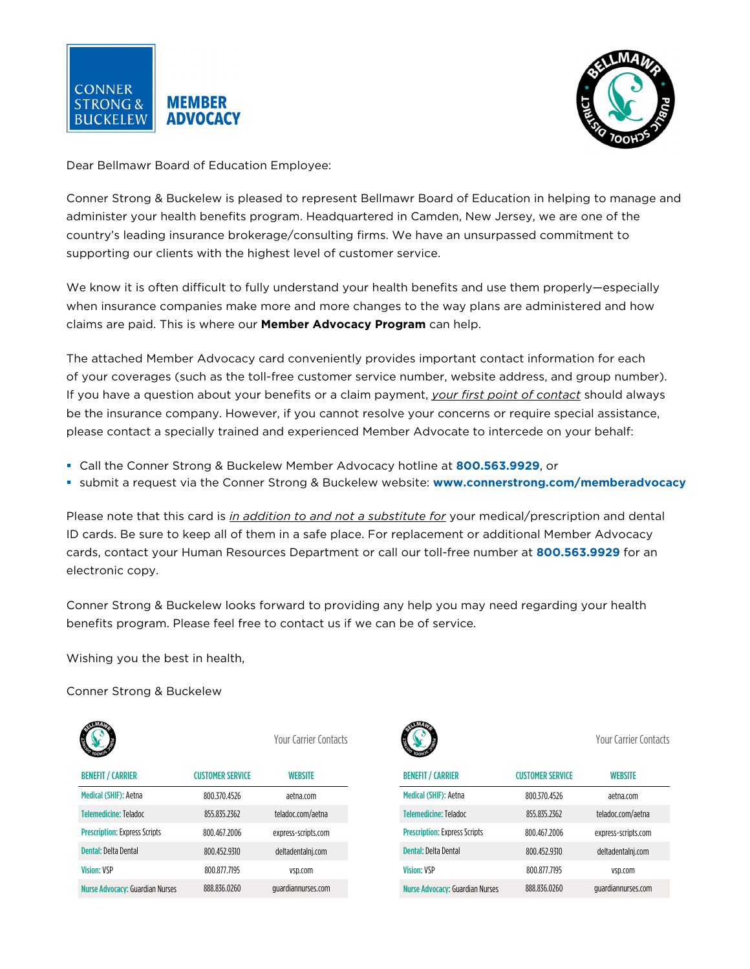



Dear Bellmawr Board of Education Employee:

Conner Strong & Buckelew is pleased to represent Bellmawr Board of Education in helping to manage and administer your health benefits program. Headquartered in Camden, New Jersey, we are one of the country's leading insurance brokerage/consulting firms. We have an unsurpassed commitment to supporting our clients with the highest level of customer service.

We know it is often difficult to fully understand your health benefits and use them properly—especially when insurance companies make more and more changes to the way plans are administered and how claims are paid. This is where our **Member Advocacy Program** can help.

The attached Member Advocacy card conveniently provides important contact information for each of your coverages (such as the toll-free customer service number, website address, and group number). If you have a question about your benefits or a claim payment, *your first point of contact* should always be the insurance company. However, if you cannot resolve your concerns or require special assistance, please contact a specially trained and experienced Member Advocate to intercede on your behalf:

- Call the Conner Strong & Buckelew Member Advocacy hotline at **800.563.9929**, or
- submit a request via the Conner Strong & Buckelew website: **www.connerstrong.com/memberadvocacy**

Please note that this card is *in addition to and not a substitute for* your medical/prescription and dental ID cards. Be sure to keep all of them in a safe place. For replacement or additional Member Advocacy cards, contact your Human Resources Department or call our toll-free number at **800.563.9929** for an electronic copy.

Conner Strong & Buckelew looks forward to providing any help you may need regarding your health benefits program. Please feel free to contact us if we can be of service.

Wishing you the best in health,

Conner Strong & Buckelew

| <b>MAD</b>                             |                         | Your Carrier Contacts |  |
|----------------------------------------|-------------------------|-----------------------|--|
| <b>BENEFIT / CARRIER</b>               | <b>CUSTOMER SERVICE</b> | WEBSITE               |  |
| Medical (SHIF): Aetna                  | 800 370 4526            | aetna com             |  |
| Telemedicine: Teladoc                  | 855 835 2362            | teladoc.com/aetna     |  |
| <b>Prescription: Express Scripts</b>   | 800 467 2006            | express-scripts.com   |  |
| Dental: Delta Dental                   | 800.452.9310            | deltadentalnj.com     |  |
| <b>Vision: VSP</b>                     | 800 877 7195            | vsp.com               |  |
| <b>Nurse Advocacy: Guardian Nurses</b> | 888.836.0260            | quardiannurses.com    |  |



Your Carrier Contacts Your Carrier Contacts

| <b>BENEFIT / CARRIER</b>               | <b>CUSTOMER SERVICE</b> | WEBSITE             |
|----------------------------------------|-------------------------|---------------------|
| Medical (SHIF): Aetna                  | 800.370.4526            | aetna.com           |
| Telemedicine: Teladoc                  | 855.835.2362            | teladoc.com/aetna   |
| <b>Prescription: Express Scripts</b>   | 800.467.2006            | express-scripts.com |
| Dental: Delta Dental                   | 800.452.9310            | deltadentalnj.com   |
| <b>Vision: VSP</b>                     | 800.877.7195            | ysp.com             |
| <b>Nurse Advocacy: Guardian Nurses</b> | 888.836.0260            | quardiannurses.com  |